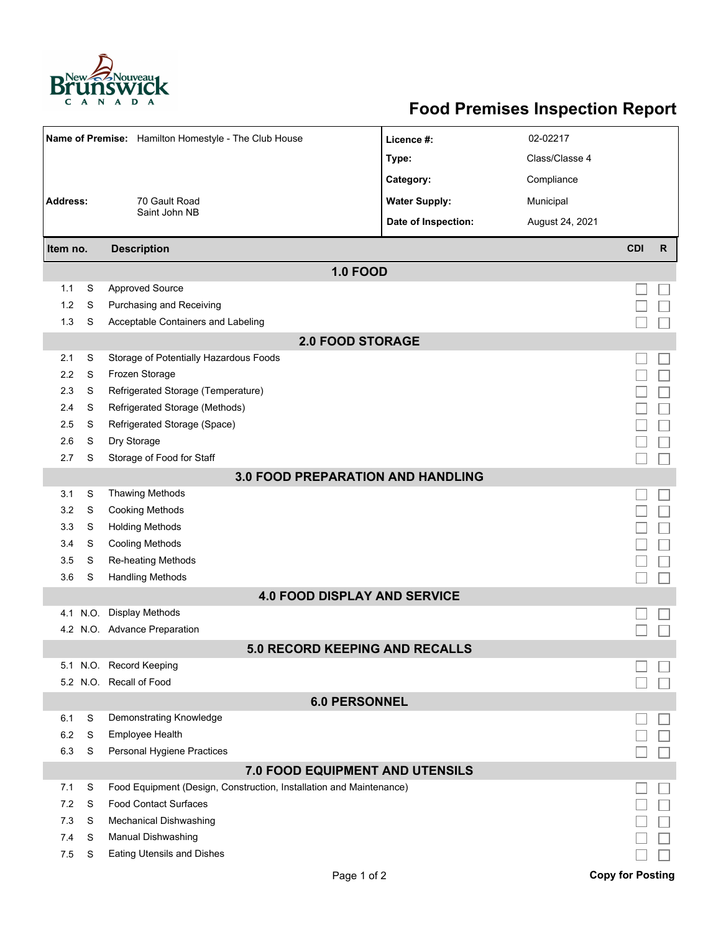

## **Food Premises Inspection Report**

| Name of Premise: Hamilton Homestyle - The Club House |      |                                                                     | Licence #:                               | 02-02217        |                         |              |  |  |  |  |
|------------------------------------------------------|------|---------------------------------------------------------------------|------------------------------------------|-----------------|-------------------------|--------------|--|--|--|--|
|                                                      |      |                                                                     | Type:                                    | Class/Classe 4  |                         |              |  |  |  |  |
|                                                      |      |                                                                     | Category:                                | Compliance      |                         |              |  |  |  |  |
| <b>Address:</b><br>70 Gault Road                     |      |                                                                     | <b>Water Supply:</b>                     | Municipal       |                         |              |  |  |  |  |
|                                                      |      | Saint John NB                                                       | Date of Inspection:                      | August 24, 2021 |                         |              |  |  |  |  |
|                                                      |      |                                                                     |                                          |                 | <b>CDI</b>              | $\mathsf{R}$ |  |  |  |  |
| <b>Description</b><br>Item no.                       |      |                                                                     |                                          |                 |                         |              |  |  |  |  |
|                                                      |      |                                                                     | <b>1.0 FOOD</b>                          |                 |                         |              |  |  |  |  |
| 1.1                                                  | S    | <b>Approved Source</b>                                              |                                          |                 |                         |              |  |  |  |  |
| 1.2                                                  | S    | Purchasing and Receiving                                            |                                          |                 |                         |              |  |  |  |  |
| 1.3                                                  | S    | Acceptable Containers and Labeling                                  |                                          |                 |                         |              |  |  |  |  |
| <b>2.0 FOOD STORAGE</b>                              |      |                                                                     |                                          |                 |                         |              |  |  |  |  |
| 2.1                                                  | S    | Storage of Potentially Hazardous Foods                              |                                          |                 |                         |              |  |  |  |  |
| 2.2                                                  | S    | Frozen Storage                                                      |                                          |                 |                         |              |  |  |  |  |
| 2.3                                                  | S    | Refrigerated Storage (Temperature)                                  |                                          |                 |                         |              |  |  |  |  |
| 2.4                                                  | S    | Refrigerated Storage (Methods)                                      |                                          |                 |                         |              |  |  |  |  |
| 2.5                                                  | S    | Refrigerated Storage (Space)                                        |                                          |                 |                         |              |  |  |  |  |
| 2.6                                                  | S    | Dry Storage                                                         |                                          |                 |                         |              |  |  |  |  |
| 2.7                                                  | S    | Storage of Food for Staff                                           |                                          |                 |                         |              |  |  |  |  |
|                                                      |      |                                                                     | <b>3.0 FOOD PREPARATION AND HANDLING</b> |                 |                         |              |  |  |  |  |
| 3.1                                                  | S    | <b>Thawing Methods</b>                                              |                                          |                 |                         |              |  |  |  |  |
| 3.2                                                  | S    | <b>Cooking Methods</b>                                              |                                          |                 |                         |              |  |  |  |  |
| 3.3                                                  | S    | <b>Holding Methods</b>                                              |                                          |                 |                         |              |  |  |  |  |
| 3.4                                                  | S    | <b>Cooling Methods</b>                                              |                                          |                 |                         |              |  |  |  |  |
| 3.5                                                  | S    | Re-heating Methods                                                  |                                          |                 |                         |              |  |  |  |  |
| 3.6                                                  | S    | <b>Handling Methods</b>                                             |                                          |                 |                         |              |  |  |  |  |
|                                                      |      |                                                                     | <b>4.0 FOOD DISPLAY AND SERVICE</b>      |                 |                         |              |  |  |  |  |
| 4.1                                                  | N.O. | <b>Display Methods</b>                                              |                                          |                 |                         |              |  |  |  |  |
|                                                      |      | 4.2 N.O. Advance Preparation                                        |                                          |                 |                         |              |  |  |  |  |
|                                                      |      |                                                                     | <b>5.0 RECORD KEEPING AND RECALLS</b>    |                 |                         |              |  |  |  |  |
|                                                      |      | 5.1 N.O. Record Keeping                                             |                                          |                 |                         |              |  |  |  |  |
|                                                      |      | 5.2 N.O. Recall of Food                                             |                                          |                 |                         |              |  |  |  |  |
|                                                      |      |                                                                     | <b>6.0 PERSONNEL</b>                     |                 |                         |              |  |  |  |  |
| 6.1                                                  | S    | Demonstrating Knowledge                                             |                                          |                 |                         |              |  |  |  |  |
| 6.2                                                  | S    | <b>Employee Health</b>                                              |                                          |                 |                         |              |  |  |  |  |
| 6.3                                                  | S    | Personal Hygiene Practices                                          |                                          |                 |                         |              |  |  |  |  |
|                                                      |      |                                                                     | 7.0 FOOD EQUIPMENT AND UTENSILS          |                 |                         |              |  |  |  |  |
| 7.1                                                  | S    | Food Equipment (Design, Construction, Installation and Maintenance) |                                          |                 |                         |              |  |  |  |  |
| 7.2                                                  | S    | <b>Food Contact Surfaces</b>                                        |                                          |                 |                         |              |  |  |  |  |
| 7.3                                                  | S    | <b>Mechanical Dishwashing</b>                                       |                                          |                 |                         |              |  |  |  |  |
| 7.4                                                  | S    | Manual Dishwashing                                                  |                                          |                 |                         |              |  |  |  |  |
| 7.5                                                  | S    | Eating Utensils and Dishes                                          |                                          |                 |                         |              |  |  |  |  |
|                                                      |      |                                                                     | Page 1 of 2                              |                 | <b>Copy for Posting</b> |              |  |  |  |  |